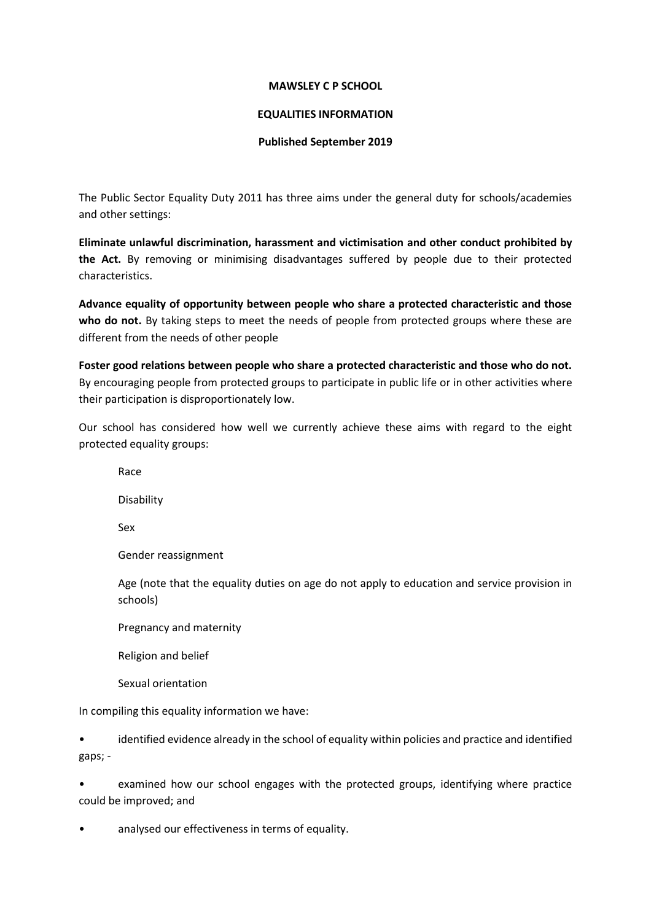#### **MAWSLEY C P SCHOOL**

#### **EQUALITIES INFORMATION**

#### **Published September 2019**

The Public Sector Equality Duty 2011 has three aims under the general duty for schools/academies and other settings:

**Eliminate unlawful discrimination, harassment and victimisation and other conduct prohibited by the Act.** By removing or minimising disadvantages suffered by people due to their protected characteristics.

**Advance equality of opportunity between people who share a protected characteristic and those**  who do not. By taking steps to meet the needs of people from protected groups where these are different from the needs of other people

**Foster good relations between people who share a protected characteristic and those who do not.**  By encouraging people from protected groups to participate in public life or in other activities where their participation is disproportionately low.

Our school has considered how well we currently achieve these aims with regard to the eight protected equality groups:

Race

Disability

Sex

Gender reassignment

Age (note that the equality duties on age do not apply to education and service provision in schools)

Pregnancy and maternity

Religion and belief

Sexual orientation

In compiling this equality information we have:

• identified evidence already in the school of equality within policies and practice and identified gaps; -

• examined how our school engages with the protected groups, identifying where practice could be improved; and

analysed our effectiveness in terms of equality.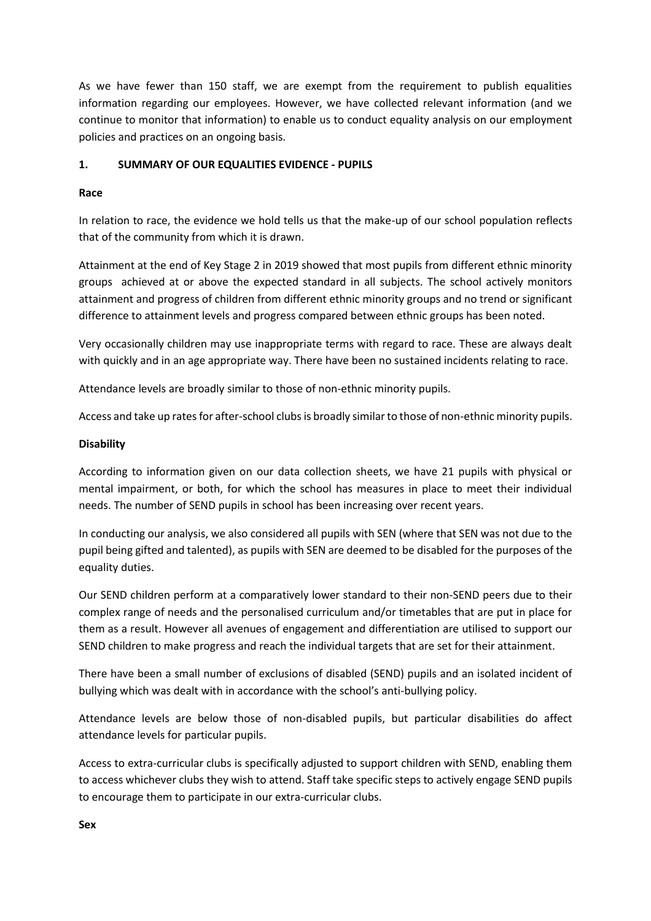As we have fewer than 150 staff, we are exempt from the requirement to publish equalities information regarding our employees. However, we have collected relevant information (and we continue to monitor that information) to enable us to conduct equality analysis on our employment policies and practices on an ongoing basis.

# **1. SUMMARY OF OUR EQUALITIES EVIDENCE - PUPILS**

#### **Race**

In relation to race, the evidence we hold tells us that the make-up of our school population reflects that of the community from which it is drawn.

Attainment at the end of Key Stage 2 in 2019 showed that most pupils from different ethnic minority groups achieved at or above the expected standard in all subjects. The school actively monitors attainment and progress of children from different ethnic minority groups and no trend or significant difference to attainment levels and progress compared between ethnic groups has been noted.

Very occasionally children may use inappropriate terms with regard to race. These are always dealt with quickly and in an age appropriate way. There have been no sustained incidents relating to race.

Attendance levels are broadly similar to those of non-ethnic minority pupils.

Access and take up rates for after-school clubs is broadly similar to those of non-ethnic minority pupils.

#### **Disability**

According to information given on our data collection sheets, we have 21 pupils with physical or mental impairment, or both, for which the school has measures in place to meet their individual needs. The number of SEND pupils in school has been increasing over recent years.

In conducting our analysis, we also considered all pupils with SEN (where that SEN was not due to the pupil being gifted and talented), as pupils with SEN are deemed to be disabled for the purposes of the equality duties.

Our SEND children perform at a comparatively lower standard to their non-SEND peers due to their complex range of needs and the personalised curriculum and/or timetables that are put in place for them as a result. However all avenues of engagement and differentiation are utilised to support our SEND children to make progress and reach the individual targets that are set for their attainment.

There have been a small number of exclusions of disabled (SEND) pupils and an isolated incident of bullying which was dealt with in accordance with the school's anti-bullying policy.

Attendance levels are below those of non-disabled pupils, but particular disabilities do affect attendance levels for particular pupils.

Access to extra-curricular clubs is specifically adjusted to support children with SEND, enabling them to access whichever clubs they wish to attend. Staff take specific steps to actively engage SEND pupils to encourage them to participate in our extra-curricular clubs.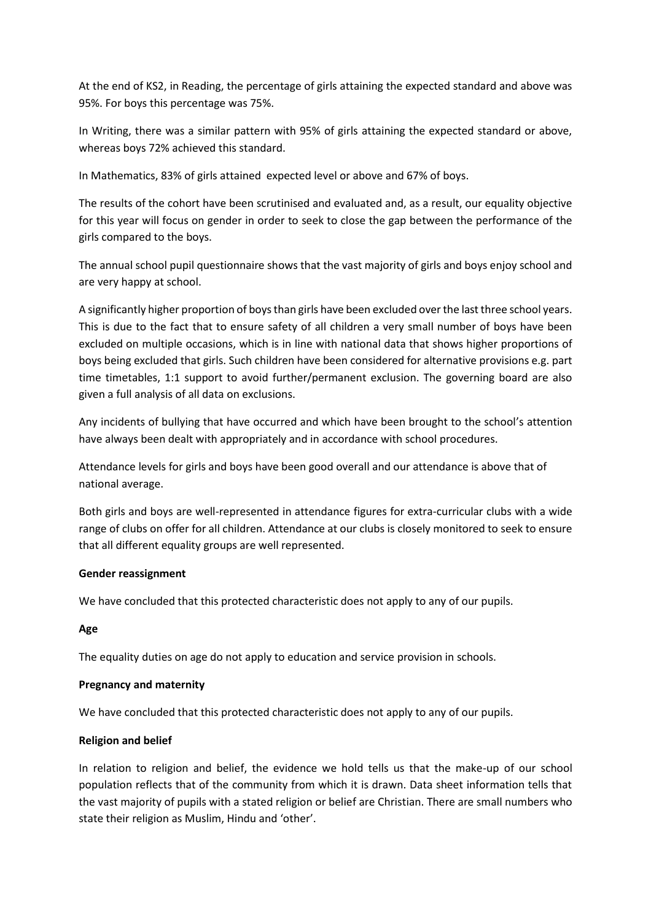At the end of KS2, in Reading, the percentage of girls attaining the expected standard and above was 95%. For boys this percentage was 75%.

In Writing, there was a similar pattern with 95% of girls attaining the expected standard or above, whereas boys 72% achieved this standard.

In Mathematics, 83% of girls attained expected level or above and 67% of boys.

The results of the cohort have been scrutinised and evaluated and, as a result, our equality objective for this year will focus on gender in order to seek to close the gap between the performance of the girls compared to the boys.

The annual school pupil questionnaire shows that the vast majority of girls and boys enjoy school and are very happy at school.

A significantly higher proportion of boys than girls have been excluded over the last three school years. This is due to the fact that to ensure safety of all children a very small number of boys have been excluded on multiple occasions, which is in line with national data that shows higher proportions of boys being excluded that girls. Such children have been considered for alternative provisions e.g. part time timetables, 1:1 support to avoid further/permanent exclusion. The governing board are also given a full analysis of all data on exclusions.

Any incidents of bullying that have occurred and which have been brought to the school's attention have always been dealt with appropriately and in accordance with school procedures.

Attendance levels for girls and boys have been good overall and our attendance is above that of national average.

Both girls and boys are well-represented in attendance figures for extra-curricular clubs with a wide range of clubs on offer for all children. Attendance at our clubs is closely monitored to seek to ensure that all different equality groups are well represented.

# **Gender reassignment**

We have concluded that this protected characteristic does not apply to any of our pupils.

# **Age**

The equality duties on age do not apply to education and service provision in schools.

# **Pregnancy and maternity**

We have concluded that this protected characteristic does not apply to any of our pupils.

#### **Religion and belief**

In relation to religion and belief, the evidence we hold tells us that the make-up of our school population reflects that of the community from which it is drawn. Data sheet information tells that the vast majority of pupils with a stated religion or belief are Christian. There are small numbers who state their religion as Muslim, Hindu and 'other'.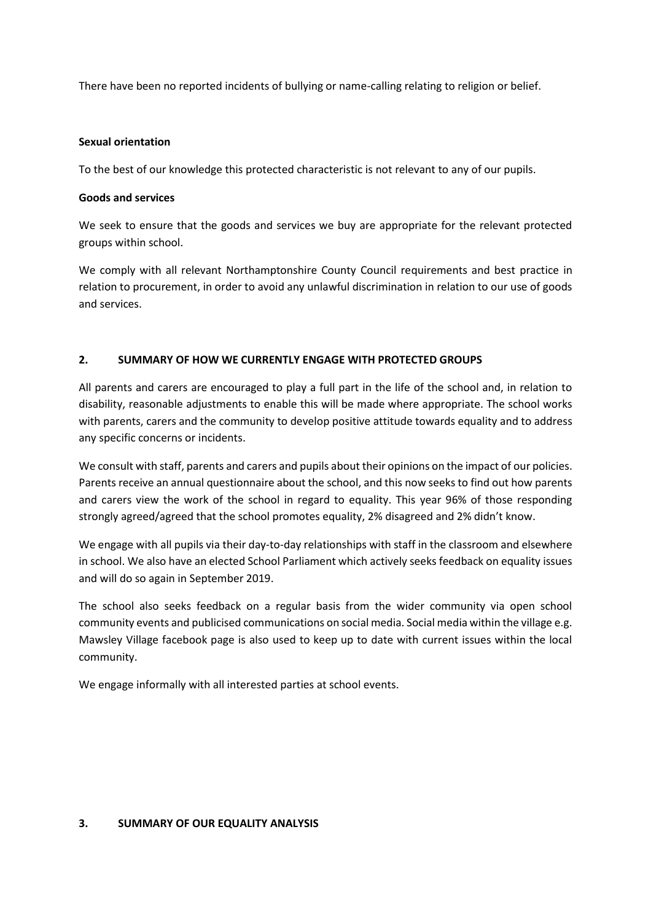There have been no reported incidents of bullying or name-calling relating to religion or belief.

#### **Sexual orientation**

To the best of our knowledge this protected characteristic is not relevant to any of our pupils.

#### **Goods and services**

We seek to ensure that the goods and services we buy are appropriate for the relevant protected groups within school.

We comply with all relevant Northamptonshire County Council requirements and best practice in relation to procurement, in order to avoid any unlawful discrimination in relation to our use of goods and services.

# **2. SUMMARY OF HOW WE CURRENTLY ENGAGE WITH PROTECTED GROUPS**

All parents and carers are encouraged to play a full part in the life of the school and, in relation to disability, reasonable adjustments to enable this will be made where appropriate. The school works with parents, carers and the community to develop positive attitude towards equality and to address any specific concerns or incidents.

We consult with staff, parents and carers and pupils about their opinions on the impact of our policies. Parents receive an annual questionnaire about the school, and this now seeks to find out how parents and carers view the work of the school in regard to equality. This year 96% of those responding strongly agreed/agreed that the school promotes equality, 2% disagreed and 2% didn't know.

We engage with all pupils via their day-to-day relationships with staff in the classroom and elsewhere in school. We also have an elected School Parliament which actively seeks feedback on equality issues and will do so again in September 2019.

The school also seeks feedback on a regular basis from the wider community via open school community events and publicised communications on social media. Social media within the village e.g. Mawsley Village facebook page is also used to keep up to date with current issues within the local community.

We engage informally with all interested parties at school events.

#### **3. SUMMARY OF OUR EQUALITY ANALYSIS**